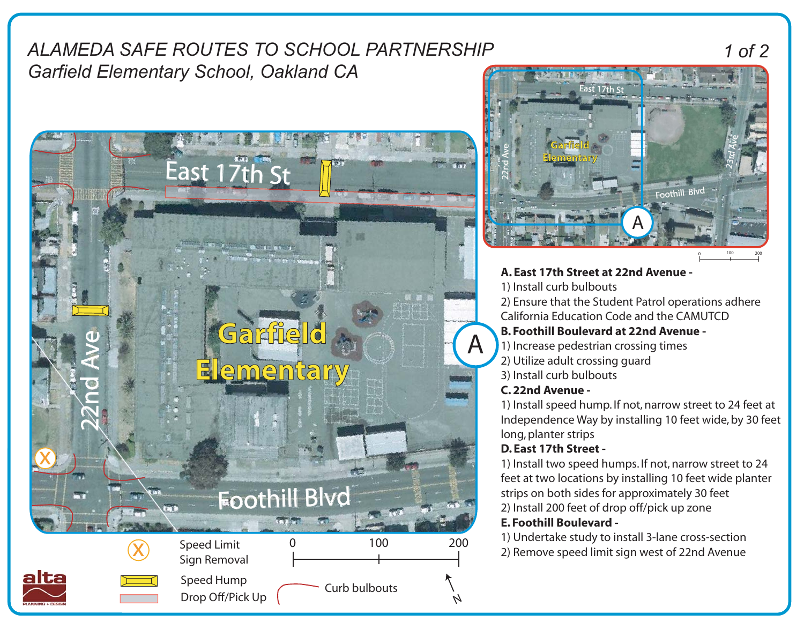# *ALAMEDA SAFE ROUTES TO SCHOOL PARTNERSHIP Garfield Elementary School, Oakland CA*



# 23rd Ave 22nd Ave **Garfield Elementary** nothil **ACCORD MANAGER & SHOPLAND TO** A 0 100 200 **A. East 17th Street at 22nd Avenue -**  1) Install curb bulbouts

 $\mathsf{East}$  17th St

2) Ensure that the Student Patrol operations adhere California Education Code and the CAMUTCD

### **B. Foothill Boulevard at 22nd Avenue -**

- 1) Increase pedestrian crossing times
- 2) Utilize adult crossing guard
- 3) Install curb bulbouts

### **C. 22nd Avenue -**

1) Install speed hump. If not, narrow street to 24 feet at Independence Way by installing 10 feet wide, by 30 feet long, planter strips

# **D. East 17th Street -**

1) Install two speed humps. If not, narrow street to 24 feet at two locations by installing 10 feet wide planter strips on both sides for approximately 30 feet 2) Install 200 feet of drop off/pick up zone

# **E. Foothill Boulevard -**

1) Undertake study to install 3-lane cross-section 2) Remove speed limit sign west of 22nd Avenue